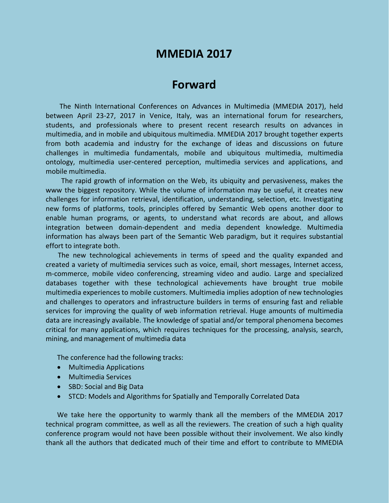# **MMEDIA 2017**

## **Forward**

The Ninth International Conferences on Advances in Multimedia (MMEDIA 2017), held between April 23-27, 2017 in Venice, Italy, was an international forum for researchers, students, and professionals where to present recent research results on advances in multimedia, and in mobile and ubiquitous multimedia. MMEDIA 2017 brought together experts from both academia and industry for the exchange of ideas and discussions on future challenges in multimedia fundamentals, mobile and ubiquitous multimedia, multimedia ontology, multimedia user-centered perception, multimedia services and applications, and mobile multimedia.

The rapid growth of information on the Web, its ubiquity and pervasiveness, makes the www the biggest repository. While the volume of information may be useful, it creates new challenges for information retrieval, identification, understanding, selection, etc. Investigating new forms of platforms, tools, principles offered by Semantic Web opens another door to enable human programs, or agents, to understand what records are about, and allows integration between domain-dependent and media dependent knowledge. Multimedia information has always been part of the Semantic Web paradigm, but it requires substantial effort to integrate both.

The new technological achievements in terms of speed and the quality expanded and created a variety of multimedia services such as voice, email, short messages, Internet access, m-commerce, mobile video conferencing, streaming video and audio. Large and specialized databases together with these technological achievements have brought true mobile multimedia experiences to mobile customers. Multimedia implies adoption of new technologies and challenges to operators and infrastructure builders in terms of ensuring fast and reliable services for improving the quality of web information retrieval. Huge amounts of multimedia data are increasingly available. The knowledge of spatial and/or temporal phenomena becomes critical for many applications, which requires techniques for the processing, analysis, search, mining, and management of multimedia data

The conference had the following tracks:

- Multimedia Applications
- Multimedia Services
- SBD: Social and Big Data
- STCD: Models and Algorithms for Spatially and Temporally Correlated Data

We take here the opportunity to warmly thank all the members of the MMEDIA 2017 technical program committee, as well as all the reviewers. The creation of such a high quality conference program would not have been possible without their involvement. We also kindly thank all the authors that dedicated much of their time and effort to contribute to MMEDIA